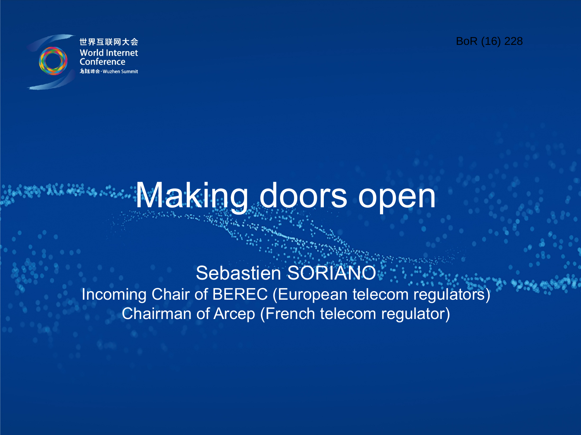

世界互联网大会 **World Internet** Conference たま峰会 · Wuzhen Summit

BoR (16) 228

# **WARING doors open**

Sebastien SORIANO Incoming Chair of BEREC (European telecom regulators) Chairman of Arcep (French telecom regulator)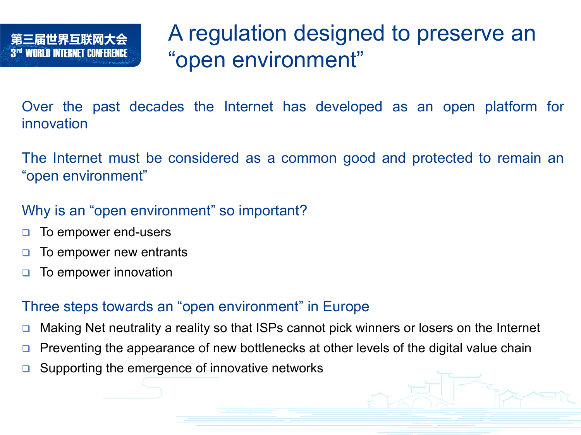

# A regulation designed to preserve an "open environment"

Over the past decades the Internet has developed as an open platform for innovation

The Internet must be considered as a common good and protected to remain an "open environment"

### Why is an "open environment" so important?

- To empower end-users
- To empower new entrants
- To empower innovation

#### Three steps towards an "open environment" in Europe

- Making Net neutrality a reality so that ISPs cannot pick winners or losers on the Internet
- Preventing the appearance of new bottlenecks at other levels of the digital value chain
- Supporting the emergence of innovative networks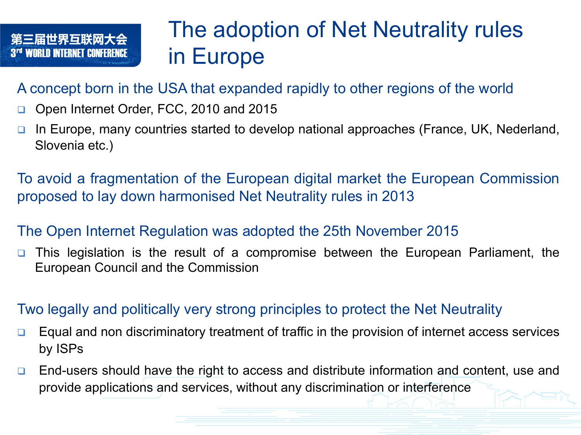# 第三届世界互联网大会 **WORLD INTERNET CONFER**

# The adoption of Net Neutrality rules in Europe

### A concept born in the USA that expanded rapidly to other regions of the world

- □ Open Internet Order, FCC, 2010 and 2015
- □ In Europe, many countries started to develop national approaches (France, UK, Nederland, Slovenia etc.)

To avoid a fragmentation of the European digital market the European Commission proposed to lay down harmonised Net Neutrality rules in 2013

### The Open Internet Regulation was adopted the 25th November 2015

 $\Box$  This legislation is the result of a compromise between the European Parliament, the European Council and the Commission

### Two legally and politically very strong principles to protect the Net Neutrality

- $\Box$  Equal and non discriminatory treatment of traffic in the provision of internet access services by ISPs
- □ End-users should have the right to access and distribute information and content, use and provide applications and services, without any discrimination or interference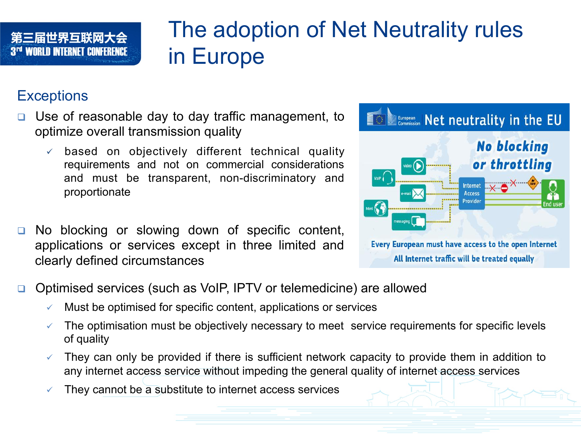# 第三届世界互联网大会 3rd WORLD INTERNET CONFERENCE

# The adoption of Net Neutrality rules in Europe

### **Exceptions**

- $\Box$  Use of reasonable day to day traffic management, to optimize overall transmission quality
	- based on objectively different technical quality requirements and not on commercial considerations and must be transparent, non-discriminatory and proportionate
- No blocking or slowing down of specific content, applications or services except in three limited and clearly defined circumstances
- □ Optimised services (such as VoIP, IPTV or telemedicine) are allowed
	- ü Must be optimised for specific content, applications or services
	- The optimisation must be objectively necessary to meet service requirements for specific levels of quality
	- $\checkmark$  They can only be provided if there is sufficient network capacity to provide them in addition to any internet access service without impeding the general quality of internet access services
	- They cannot be a substitute to internet access services

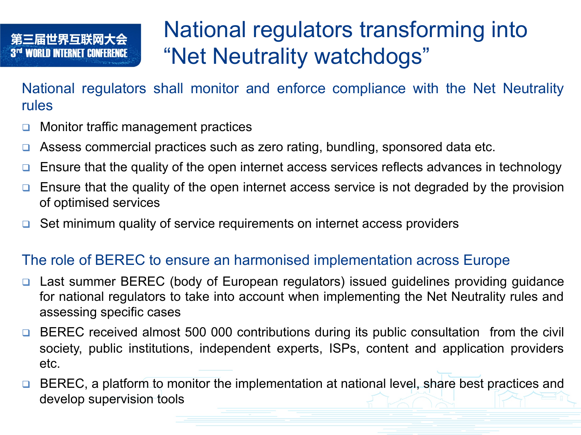# National regulators transforming into "Net Neutrality watchdogs"

National regulators shall monitor and enforce compliance with the Net Neutrality rules

- Monitor traffic management practices
- Assess commercial practices such as zero rating, bundling, sponsored data etc.
- Ensure that the quality of the open internet access services reflects advances in technology
- Ensure that the quality of the open internet access service is not degraded by the provision of optimised services
- Set minimum quality of service requirements on internet access providers

#### The role of BEREC to ensure an harmonised implementation across Europe

- □ Last summer BEREC (body of European regulators) issued guidelines providing guidance for national regulators to take into account when implementing the Net Neutrality rules and assessing specific cases
- q BEREC received almost 500 000 contributions during its public consultation from the civil society, public institutions, independent experts, ISPs, content and application providers etc.
- BEREC, a platform to monitor the implementation at national level, share best practices and develop supervision tools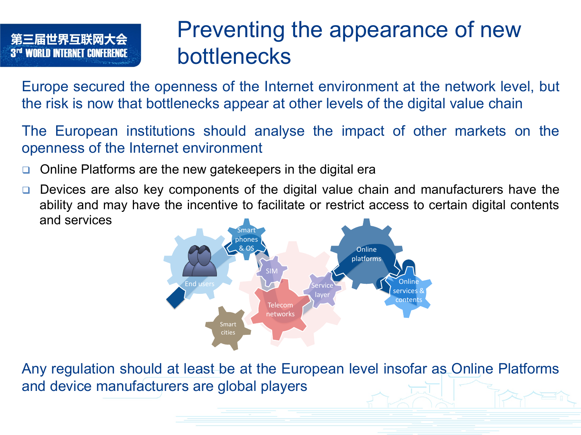## 第三届世界互联网大会 WORI DENTERNET EN

# Preventing the appearance of new bottlenecks

Europe secured the openness of the Internet environment at the network level, but the risk is now that bottlenecks appear at other levels of the digital value chain

- The European institutions should analyse the impact of other markets on the openness of the Internet environment
- Online Platforms are the new gatekeepers in the digital era
- Devices are also key components of the digital value chain and manufacturers have the ability and may have the incentive to facilitate or restrict access to certain digital contents and services



Any regulation should at least be at the European level insofar as Online Platforms and device manufacturers are global players